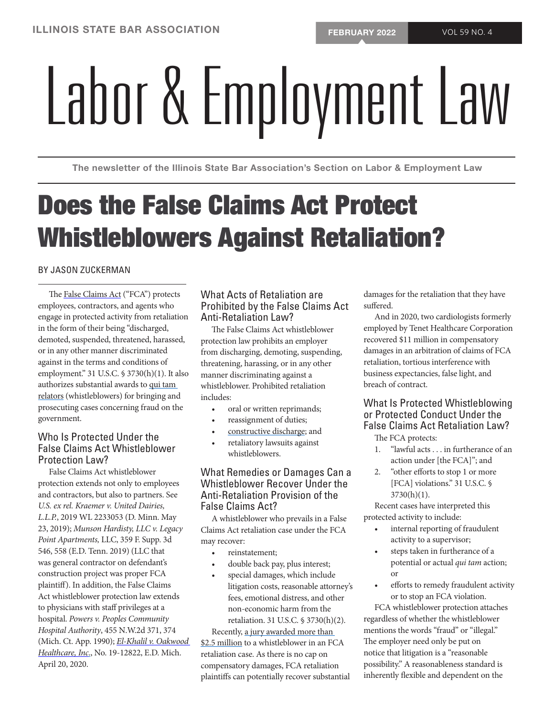# Labor STATE BAR ASSOCIATION

The newsletter of the Illinois State Bar Association's Section on Labor & Employment Law

# Does the False Claims Act Protect Whistleblowers Against Retaliation?

# BY [JASON ZUCKERMAN](https://www.zuckermanlaw.com/attorneys-profile/jason-zuckerman/)

The [False Claims Act](https://www.zuckermanlaw.com/false-claims-act-resources-corporate-whistleblowers/) ("FCA") protects employees, contractors, and agents who engage in protected activity from retaliation in the form of their being "discharged, demoted, suspended, threatened, harassed, or in any other manner discriminated against in the terms and conditions of employment." 31 U.S.C. § 3730(h)(1). It also authorizes substantial awards to [qui tam](https://www.zuckermanlaw.com/sp_faq/qui-tam-lawsuit/)  [relators](https://www.zuckermanlaw.com/sp_faq/qui-tam-lawsuit/) (whistleblowers) for bringing and prosecuting cases concerning fraud on the government.

# Who Is Protected Under the False Claims Act Whistleblower Protection Law?

False Claims Act whistleblower protection extends not only to employees and contractors, but also to partners. See *U.S. ex rel. Kraemer v. United Dairies, L.L.P.*, 2019 WL 2233053 (D. Minn. May 23, 2019); *Munson Hardisty, LLC v. Legacy Point Apartments,* LLC, 359 F. Supp. 3d 546, 558 (E.D. Tenn. 2019) (LLC that was general contractor on defendant's construction project was proper FCA plaintiff). In addition, the False Claims Act whistleblower protection law extends to physicians with staff privileges at a hospital. *Powers v. Peoples Community Hospital Authority*, 455 N.W.2d 371, 374 (Mich. Ct. App. 1990); *[El-Khalil v. Oakwood](https://scholar.google.com/scholar_case?case=7152881440929489314&hl=en&as_sdt=20000006) [Healthcare, Inc](https://scholar.google.com/scholar_case?case=7152881440929489314&hl=en&as_sdt=20000006)*., No. 19-12822, E.D. Mich. April 20, 2020.

# What Acts of Retaliation are Prohibited by the False Claims Act Anti-Retaliation Law?

The False Claims Act whistleblower protection law prohibits an employer from discharging, demoting, suspending, threatening, harassing, or in any other manner discriminating against a whistleblower. Prohibited retaliation includes:

- oral or written reprimands;
- reassignment of duties;
- [constructive discharge](https://www.zuckermanlaw.com/false-claims-act-retaliaton/); and
- retaliatory lawsuits against whistleblowers.

# What Remedies or Damages Can a Whistleblower Recover Under the Anti-Retaliation Provision of the False Claims Act?

A whistleblower who prevails in a False Claims Act retaliation case under the FCA may recover:

- reinstatement;
- double back pay, plus interest;
- special damages, which include litigation costs, reasonable attorney's fees, emotional distress, and other non-economic harm from the retaliation. 31 U.S.C. § 3730(h)(2).

Recently, a jury awarded more than [\\$2.5 million](https://www.zuckermanlaw.com/false-claims-act-retaliation/) to a whistleblower in an FCA retaliation case. As there is no cap on compensatory damages, FCA retaliation plaintiffs can potentially recover substantial damages for the retaliation that they have suffered.

And in 2020, two cardiologists formerly employed by Tenet Healthcare Corporation recovered \$11 million in compensatory damages in an arbitration of claims of FCA retaliation, tortious interference with business expectancies, false light, and breach of contract.

# What Is Protected Whistleblowing or Protected Conduct Under the False Claims Act Retaliation Law?

The FCA protects:

- 1. "lawful acts . . . in furtherance of an action under [the FCA]"; and
- 2. "other efforts to stop 1 or more [FCA] violations." 31 U.S.C. § 3730(h)(1).

Recent cases have interpreted this protected activity to include:

- internal reporting of fraudulent activity to a supervisor;
- steps taken in furtherance of a potential or actual *qui tam* action; or
- efforts to remedy fraudulent activity or to stop an FCA violation.

FCA whistleblower protection attaches regardless of whether the whistleblower mentions the words "fraud" or "illegal." The employer need only be put on notice that litigation is a "reasonable possibility." A reasonableness standard is inherently flexible and dependent on the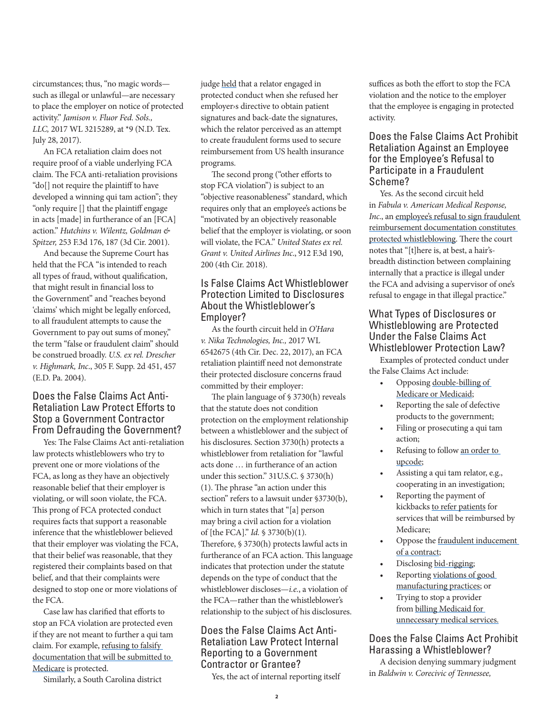circumstances; thus, "no magic words such as illegal or unlawful—are necessary to place the employer on notice of protected activity." *Jamison v. Fluor Fed. Sols., LLC,* 2017 WL 3215289, at \*9 (N.D. Tex. July 28, 2017).

An FCA retaliation claim does not require proof of a viable underlying FCA claim. The FCA anti-retaliation provisions "do[] not require the plaintiff to have developed a winning qui tam action"; they "only require [] that the plaintiff engage in acts [made] in furtherance of an [FCA] action." *Hutchins v. Wilentz, Goldman & Spitzer,* 253 F.3d 176, 187 (3d Cir. 2001).

And because the Supreme Court has held that the FCA "is intended to reach all types of fraud, without qualification, that might result in financial loss to the Government" and "reaches beyond 'claims' which might be legally enforced, to all fraudulent attempts to cause the Government to pay out sums of money," the term "false or fraudulent claim" should be construed broadly. *U.S. ex rel. Drescher v. Highmark, Inc*., 305 F. Supp. 2d 451, 457 (E.D. Pa. 2004).

#### Does the False Claims Act Anti-Retaliation Law Protect Efforts to Stop a Government Contractor From Defrauding the Government?

Yes: The False Claims Act anti-retaliation law protects whistleblowers who try to prevent one or more violations of the FCA, as long as they have an objectively reasonable belief that their employer is violating, or will soon violate, the FCA. This prong of FCA protected conduct requires facts that support a reasonable inference that the whistleblower believed that their employer was violating the FCA, that their belief was reasonable, that they registered their complaints based on that belief, and that their complaints were designed to stop one or more violations of the FCA.

Case law has clarified that efforts to stop an FCA violation are protected even if they are not meant to further a qui tam claim. For example, [refusing to falsify](https://www.zuckermanlaw.com/false-claims-act-whistleblower-provision-protects-refusal-violate-false-claims-act/)  [documentation that will be submitted to](https://www.zuckermanlaw.com/false-claims-act-whistleblower-provision-protects-refusal-violate-false-claims-act/)  [Medicare](https://www.zuckermanlaw.com/false-claims-act-whistleblower-provision-protects-refusal-violate-false-claims-act/) is protected.

Similarly, a South Carolina district

judge [held](https://1.next.westlaw.com/Document/I37011df0146311eb8cd5c20cd8227000/View/FullText.html?navigationPath=%2FRelatedInfo%2Fv1%2FkcCitingReferences%2Fnav%3FdocGuid%3DN7B74B5C0F74311DFA838D2D673C5CD26%26midlineIndex%3D12%26warningFlag%3Dnull%26planIcons%3Dnull%26skipOutOfPlan%3Dnull%26sort%3Ddefault%26filterGuid%3Dh718c4fbe0e3813591e0374473c1082b4%26category%3DkcCitingReferences&listSource=RelatedInfo&list=CitingReferences&rank=12&docFamilyGuid=I392891d0146311eb9e47ace97628ee6c&originationContext=citingreferences&transitionType=CitingReferencesItem&contextData=%28sc.Default%29&alertGuid=i0ad70f7c0000015276fc568e769d1735) that a relator engaged in protected conduct when she refused her employer›s directive to obtain patient signatures and back-date the signatures, which the relator perceived as an attempt to create fraudulent forms used to secure reimbursement from US health insurance programs.

The second prong ("other efforts to stop FCA violation") is subject to an "objective reasonableness" standard, which requires only that an employee's actions be "motivated by an objectively reasonable belief that the employer is violating, or soon will violate, the FCA." *United States ex rel. Grant v. United Airlines Inc*., 912 F.3d 190, 200 (4th Cir. 2018).

# Is False Claims Act Whistleblower Protection Limited to Disclosures About the Whistleblower's Employer?

As the fourth circuit held in *O'Hara v. Nika Technologies, Inc.,* 2017 WL 6542675 (4th Cir. Dec. 22, 2017), an FCA retaliation plaintiff need not demonstrate their protected disclosure concerns fraud committed by their employer:

The plain language of § 3730(h) reveals that the statute does not condition protection on the employment relationship between a whistleblower and the subject of his disclosures. Section 3730(h) protects a whistleblower from retaliation for "lawful acts done … in furtherance of an action under this section." 31U.S.C. § 3730(h) (1). The phrase "an action under this section" refers to a lawsuit under §3730(b), which in turn states that "[a] person may bring a civil action for a violation of [the FCA]." *Id.* § 3730(b)(1). Therefore, § 3730(h) protects lawful acts in furtherance of an FCA action. This language indicates that protection under the statute depends on the type of conduct that the whistleblower discloses—*i.e.*, a violation of the FCA—rather than the whistleblower's relationship to the subject of his disclosures.

# Does the False Claims Act Anti-Retaliation Law Protect Internal Reporting to a Government Contractor or Grantee?

Yes, the act of internal reporting itself

suffices as both the effort to stop the FCA violation and the notice to the employer that the employee is engaging in protected activity.

#### Does the False Claims Act Prohibit Retaliation Against an Employee for the Employee's Refusal to Participate in a Fraudulent Scheme?

Yes. As the second circuit held in *Fabula v. American Medical Response,*  Inc., an employee's refusal to sign fraudulent [reimbursement documentation constitutes](https://www.zuckermanlaw.com/false-claims-act-whistleblower-provision-protects-refusal-violate-false-claims-act/)  [protected whistleblowing.](https://www.zuckermanlaw.com/false-claims-act-whistleblower-provision-protects-refusal-violate-false-claims-act/) There the court notes that "[t]here is, at best, a hair'sbreadth distinction between complaining internally that a practice is illegal under the FCA and advising a supervisor of one's refusal to engage in that illegal practice."

# What Types of Disclosures or Whistleblowing are Protected Under the False Claims Act Whistleblower Protection Law?

Examples of protected conduct under the False Claims Act include:

- Opposing [double-billing of](https://scholar.google.com/scholar_case?about=7153274485431199107&hl=en&lr=lang_en&as_sdt=20000006&as_vis=1)  [Medicare or Medicaid;](https://scholar.google.com/scholar_case?about=7153274485431199107&hl=en&lr=lang_en&as_sdt=20000006&as_vis=1)
- Reporting the sale of defective products to the government;
- Filing or prosecuting a qui tam action;
- Refusing to follow an order to [upcode](https://www.zuckermanlaw.com/sp_faq/false_claims_act_whistleblower_protection/);
- Assisting a qui tam relator, e.g., cooperating in an investigation;
- Reporting the payment of kickbacks [to refer patients](https://www.zuckermanlaw.com/sp_faq/violation-anti-kickback-law-also-violation-false-claims-act/) for services that will be reimbursed by Medicare;
- Oppose the [fraudulent inducement](https://www.zuckermanlaw.com/sp_faq/false-claims-act-prohibit-fraudulent-inducement-contract/)  [of a contract](https://www.zuckermanlaw.com/sp_faq/false-claims-act-prohibit-fraudulent-inducement-contract/);
- Disclosing [bid-rigging](https://www.zuckermanlaw.com/sp_faq/false-claims-act-prohibit-bid-rigging/);
- Reporting violations of good [manufacturing practices;](https://www.zuckermanlaw.com/sp_faq/can-violation-good-manufacturing-practices-give-rise-false-claims-act-liability/) or
- Trying to stop a provider from billing Medicaid for [unnecessary medical services.](https://scholar.google.com/scholar_case?case=14803564719513682602&hl=en&lr=lang_en&as_sdt=20000006&as_vis=1)

# Does the False Claims Act Prohibit Harassing a Whistleblower?

A decision denying summary judgment in *Baldwin v. Corecivic of Tennessee,*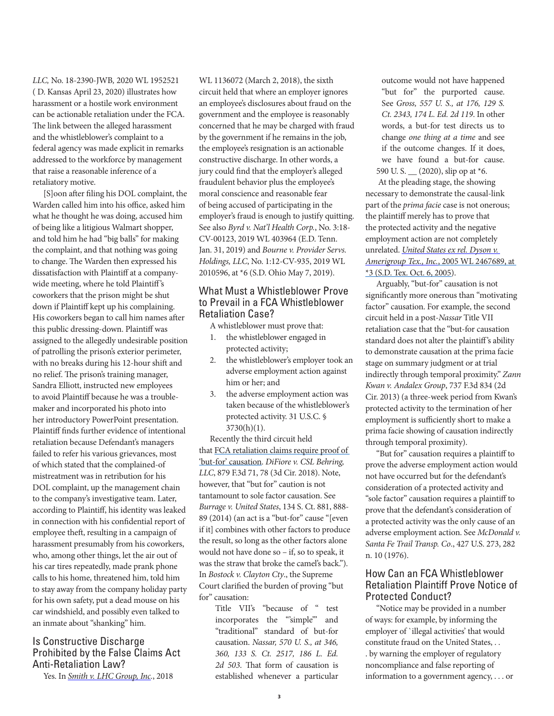*LLC,* No. 18-2390-JWB*,* 2020 WL 1952521 ( D. Kansas April 23, 2020) illustrates how harassment or a hostile work environment can be actionable retaliation under the FCA. The link between the alleged harassment and the whistleblower's complaint to a federal agency was made explicit in remarks addressed to the workforce by management that raise a reasonable inference of a retaliatory motive.

[S]oon after filing his DOL complaint, the Warden called him into his office, asked him what he thought he was doing, accused him of being like a litigious Walmart shopper, and told him he had "big balls" for making the complaint, and that nothing was going to change. The Warden then expressed his dissatisfaction with Plaintiff at a companywide meeting, where he told Plaintiff's coworkers that the prison might be shut down if Plaintiff kept up his complaining. His coworkers began to call him names after this public dressing-down. Plaintiff was assigned to the allegedly undesirable position of patrolling the prison's exterior perimeter, with no breaks during his 12-hour shift and no relief. The prison's training manager, Sandra Elliott, instructed new employees to avoid Plaintiff because he was a troublemaker and incorporated his photo into her introductory PowerPoint presentation. Plaintiff finds further evidence of intentional retaliation because Defendant's managers failed to refer his various grievances, most of which stated that the complained-of mistreatment was in retribution for his DOL complaint, up the management chain to the company's investigative team. Later, according to Plaintiff, his identity was leaked in connection with his confidential report of employee theft, resulting in a campaign of harassment presumably from his coworkers, who, among other things, let the air out of his car tires repeatedly, made prank phone calls to his home, threatened him, told him to stay away from the company holiday party for his own safety, put a dead mouse on his car windshield, and possibly even talked to an inmate about "shanking" him.

#### Is Constructive Discharge Prohibited by the False Claims Act Anti-Retaliation Law?

Yes. In *[Smith v. LHC Group, Inc.](https://www.opn.ca6.uscourts.gov/opinions.pdf/18a0105n-06.pdf)*, 2018

WL 1136072 (March 2, 2018), the sixth circuit held that where an employer ignores an employee's disclosures about fraud on the government and the employee is reasonably concerned that he may be charged with fraud by the government if he remains in the job, the employee's resignation is an actionable constructive discharge. In other words, a jury could find that the employer's alleged fraudulent behavior plus the employee's moral conscience and reasonable fear of being accused of participating in the employer's fraud is enough to justify quitting. See also *Byrd v. Nat'l Health Corp.*, No. 3:18- CV-00123, 2019 WL 403964 (E.D. Tenn. Jan. 31, 2019) and *Bourne v. Provider Servs. Holdings, LLC*, No. 1:12-CV-935, 2019 WL 2010596, at \*6 (S.D. Ohio May 7, 2019).

#### What Must a Whistleblower Prove to Prevail in a FCA Whistleblower Retaliation Case?

- A whistleblower must prove that:
- 1. the whistleblower engaged in protected activity;
- 2. the whistleblower's employer took an adverse employment action against him or her; and
- 3. the adverse employment action was taken because of the whistleblower's protected activity. 31 U.S.C. §  $3730(h)(1)$ .

Recently the third circuit held that [FCA retaliation claims require proof of](https://www.zuckermanlaw.com/third-circuit-false-claims-act-retaliation-decision-may-spur-increase-ndaa-retaliation-claims/)  ['but-for' causation](https://www.zuckermanlaw.com/third-circuit-false-claims-act-retaliation-decision-may-spur-increase-ndaa-retaliation-claims/). *DiFiore v. CSL Behring, LLC*, 879 F.3d 71, 78 (3d Cir. 2018). Note, however, that "but for" caution is not tantamount to sole factor causation. See *Burrage v. United States*, 134 S. Ct. 881, 888- 89 (2014) (an act is a "but-for" cause "[even if it] combines with other factors to produce the result, so long as the other factors alone would not have done so – if, so to speak, it was the straw that broke the camel's back."). In *Bostock v. Clayton Cty*., the Supreme Court clarified the burden of proving "but for" causation:

Title VII's "because of " test incorporates the "simple" and "traditional" standard of but-for causation. *Nassar, 570 U. S., at 346, 360, 133 S. Ct. 2517, 186 L. Ed. 2d 503*. That form of causation is established whenever a particular

outcome would not have happened "but for" the purported cause. See *Gross, 557 U. S., at 176, 129 S. Ct. 2343, 174 L. Ed. 2d 119*. In other words, a but-for test directs us to change *one thing at a time* and see if the outcome changes. If it does, we have found a but-for cause. 590 U.S.  $(2020)$ , slip op at  $*6$ .

At the pleading stage, the showing necessary to demonstrate the causal-link part of the *prima facie* case is not onerous; the plaintiff merely has to prove that the protected activity and the negative employment action are not completely unrelated. *[United States ex rel. Dyson v.](https://www.westlaw.com/Link/Document/FullText?findType=Y&serNum=2007435091&pubNum=0000999&originatingDoc=I43c1beb0230911eabed3a1bc09b332eb&refType=RP&originationContext=document&vr=3.0&rs=cblt1.0&transitionType=DocumentItem&contextData=(sc.Keycite))  Amerigroup Tex., Inc.*[, 2005 WL 2467689, at](https://www.westlaw.com/Link/Document/FullText?findType=Y&serNum=2007435091&pubNum=0000999&originatingDoc=I43c1beb0230911eabed3a1bc09b332eb&refType=RP&originationContext=document&vr=3.0&rs=cblt1.0&transitionType=DocumentItem&contextData=(sc.Keycite))  [\\*3 \(S.D. Tex. Oct. 6, 2005\)](https://www.westlaw.com/Link/Document/FullText?findType=Y&serNum=2007435091&pubNum=0000999&originatingDoc=I43c1beb0230911eabed3a1bc09b332eb&refType=RP&originationContext=document&vr=3.0&rs=cblt1.0&transitionType=DocumentItem&contextData=(sc.Keycite)).

Arguably, "but-for" causation is not significantly more onerous than "motivating factor" causation. For example, the second circuit held in a post-*Nassar* Title VII retaliation case that the "but-for causation standard does not alter the plaintiff's ability to demonstrate causation at the prima facie stage on summary judgment or at trial indirectly through temporal proximity." *Zann Kwan v. Andalex Group*, 737 F.3d 834 (2d Cir. 2013) (a three-week period from Kwan's protected activity to the termination of her employment is sufficiently short to make a prima facie showing of causation indirectly through temporal proximity).

"But for" causation requires a plaintiff to prove the adverse employment action would not have occurred but for the defendant's consideration of a protected activity and "sole factor" causation requires a plaintiff to prove that the defendant's consideration of a protected activity was the only cause of an adverse employment action. See *McDonald v. Santa Fe Trail Transp. Co*., 427 U.S. 273, 282 n. 10 (1976).

#### How Can an FCA Whistleblower Retaliation Plaintiff Prove Notice of Protected Conduct?

"Notice may be provided in a number of ways: for example, by informing the employer of `illegal activities' that would constitute fraud on the United States, . . . by warning the employer of regulatory noncompliance and false reporting of information to a government agency, . . . or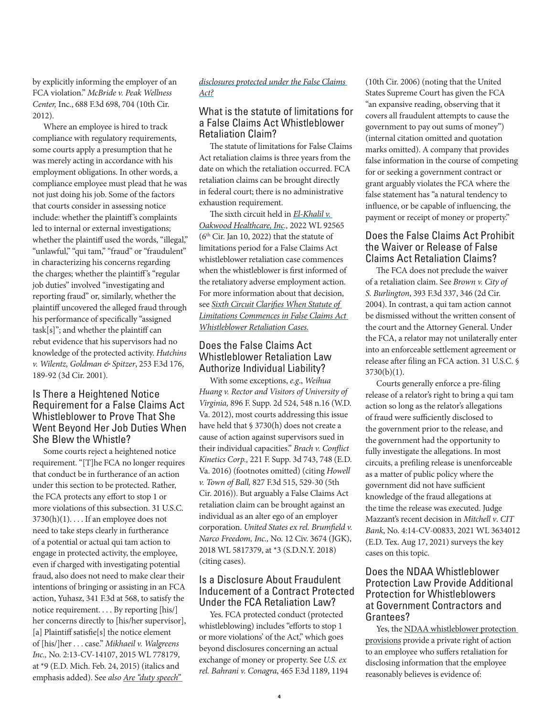by explicitly informing the employer of an FCA violation." *[McBride v. Peak Wellness](https://scholar.google.com/scholar_case?case=10949127527854627422&hl=en&lr=lang_en&as_sdt=20000006&as_vis=1)  Center,* Inc., [688 F.3d 698, 704 \(10th Cir.](https://scholar.google.com/scholar_case?case=10949127527854627422&hl=en&lr=lang_en&as_sdt=20000006&as_vis=1)  [2012\).](https://scholar.google.com/scholar_case?case=10949127527854627422&hl=en&lr=lang_en&as_sdt=20000006&as_vis=1)

Where an employee is hired to track compliance with regulatory requirements, some courts apply a presumption that he was merely acting in accordance with his employment obligations. In other words, a compliance employee must plead that he was not just doing his job. Some of the factors that courts consider in assessing notice include: whether the plaintiff's complaints led to internal or external investigations; whether the plaintiff used the words, "illegal," "unlawful," "qui tam," "fraud" or "fraudulent" in characterizing his concerns regarding the charges; whether the plaintiff's "regular job duties" involved "investigating and reporting fraud" or, similarly, whether the plaintiff uncovered the alleged fraud through his performance of specifically "assigned task[s]"; and whether the plaintiff can rebut evidence that his supervisors had no knowledge of the protected activity. *Hutchins v. Wilentz, Goldman & Spitzer*, 253 F.3d 176, 189-92 (3d Cir. 2001).

#### Is There a Heightened Notice Requirement for a False Claims Act Whistleblower to Prove That She Went Beyond Her Job Duties When She Blew the Whistle?

Some courts reject a heightened notice requirement. "[T]he FCA no longer requires that conduct be in furtherance of an action under this section to be protected. Rather, the FCA protects any effort to stop 1 or more violations of this subsection. 31 U.S.C.  $3730(h)(1)$ ... If an employee does not need to take steps clearly in furtherance of a potential or actual qui tam action to engage in protected activity, the employee, even if charged with investigating potential fraud, also does not need to make clear their intentions of bringing or assisting in an FCA action, Yuhasz, 341 F.3d at 568, to satisfy the notice requirement. . . . By reporting [his/] her concerns directly to [his/her supervisor], [a] Plaintiff satisfie[s] the notice element of [his/]her . . . case." *Mikhaeil v. Walgreens Inc.,* No. 2:13-CV-14107, 2015 WL 778179, at \*9 (E.D. Mich. Feb. 24, 2015) (italics and emphasis added). See *also [Are "duty speech"](https://www.zuckermanlaw.com/false-claims-act-retaliation-decisions-calls-duty-speech-heightened-pleading-standard-into-question/)* 

#### *[disclosures protected under the False Claims](https://www.zuckermanlaw.com/false-claims-act-retaliation-decisions-calls-duty-speech-heightened-pleading-standard-into-question/)  [Act?](https://www.zuckermanlaw.com/false-claims-act-retaliation-decisions-calls-duty-speech-heightened-pleading-standard-into-question/)*

# What is the statute of limitations for a False Claims Act Whistleblower Retaliation Claim?

The statute of limitations for False Claims Act retaliation claims is three years from the date on which the retaliation occurred. FCA retaliation claims can be brought directly in federal court; there is no administrative exhaustion requirement.

The sixth circuit held in *[El-Khalil v.](https://scholar.google.com/scholar_case?case=18263386868417464245&hl=en&lr=lang_en&as_sdt=20000006&as_vis=1&oi=scholaralrt&hist=ginTI0gAAAAJ:63468732598793458:AAGBfm2rsBKPrT8TdwivghABAjU4iRHGuA&html=&folt=kw)  [Oakwood Healthcare, Inc.](https://scholar.google.com/scholar_case?case=18263386868417464245&hl=en&lr=lang_en&as_sdt=20000006&as_vis=1&oi=scholaralrt&hist=ginTI0gAAAAJ:63468732598793458:AAGBfm2rsBKPrT8TdwivghABAjU4iRHGuA&html=&folt=kw),* 2022 WL 92565  $(6<sup>th</sup> Cir.$  Jan 10, 2022) that the statute of limitations period for a False Claims Act whistleblower retaliation case commences when the whistleblower is first informed of the retaliatory adverse employment action. For more information about that decision, see *[Sixth Circuit Clarifies When Statute of](https://www.zuckermanlaw.com/false_claims_act_whistleblower_retaliation_statute_of_limitations/)  [Limitations Commences in False Claims Act](https://www.zuckermanlaw.com/false_claims_act_whistleblower_retaliation_statute_of_limitations/)  [Whistleblower Retaliation Cases.](https://www.zuckermanlaw.com/false_claims_act_whistleblower_retaliation_statute_of_limitations/)*

# Does the False Claims Act Whistleblower Retaliation Law Authorize Individual Liability?

With some exceptions, *e.g*., *Weihua Huang v. Rector and Visitors of University of Virginia,* 896 F. Supp. 2d 524, 548 n.16 (W.D. Va. 2012), most courts addressing this issue have held that § 3730(h) does not create a cause of action against supervisors sued in their individual capacities." *Brach v. Conflict Kinetics Corp.,* 221 F. Supp. 3d 743, 748 (E.D. Va. 2016) (footnotes omitted) (citing *Howell v. Town of Ball,* 827 F.3d 515, 529-30 (5th Cir. 2016)). But arguably a False Claims Act retaliation claim can be brought against an individual as an alter ego of an employer corporation. *United States ex rel. Brumfield v. Narco Freedom, Inc.,* No. 12 Civ. 3674 (JGK), 2018 WL 5817379, at \*3 (S.D.N.Y. 2018) (citing cases).

# Is a Disclosure About Fraudulent Inducement of a Contract Protected Under the FCA Retaliation Law?

Yes. FCA protected conduct (protected whistleblowing) includes "efforts to stop 1 or more violations' of the Act," which goes beyond disclosures concerning an actual exchange of money or property. See *U.S. ex rel. Bahrani v. Conagra*, 465 F.3d 1189, 1194 (10th Cir. 2006) (noting that the United States Supreme Court has given the FCA "an expansive reading, observing that it covers all fraudulent attempts to cause the government to pay out sums of money") (internal citation omitted and quotation marks omitted). A company that provides false information in the course of competing for or seeking a government contract or grant arguably violates the FCA where the false statement has "a natural tendency to influence, or be capable of influencing, the payment or receipt of money or property."

# Does the False Claims Act Prohibit the Waiver or Release of False Claims Act Retaliation Claims?

The FCA does not preclude the waiver of a retaliation claim. See *Brown v. City of S. Burlington*, 393 F.3d 337, 346 (2d Cir. 2004). In contrast, a qui tam action cannot be dismissed without the written consent of the court and the Attorney General. Under the FCA, a relator may not unilaterally enter into an enforceable settlement agreement or release after filing an FCA action. 31 U.S.C. § 3730(b)(1).

Courts generally enforce a pre-filing release of a relator's right to bring a qui tam action so long as the relator's allegations of fraud were sufficiently disclosed to the government prior to the release, and the government had the opportunity to fully investigate the allegations. In most circuits, a prefiling release is unenforceable as a matter of public policy where the government did not have sufficient knowledge of the fraud allegations at the time the release was executed. Judge Mazzant's recent decision in *Mitchell v*. *CIT Bank*, No. 4:14-CV-00833, 2021 WL 3634012 (E.D. Tex. Aug 17, 2021) surveys the key cases on this topic.

# Does the NDAA Whistleblower Protection Law Provide Additional Protection for Whistleblowers at Government Contractors and Grantees?

Yes, the NDAA whistleblower protection [provisions](https://www.zuckermanlaw.com/ndaa-provides-robust-whistleblower-protection/) provide a private right of action to an employee who suffers retaliation for disclosing information that the employee reasonably believes is evidence of: